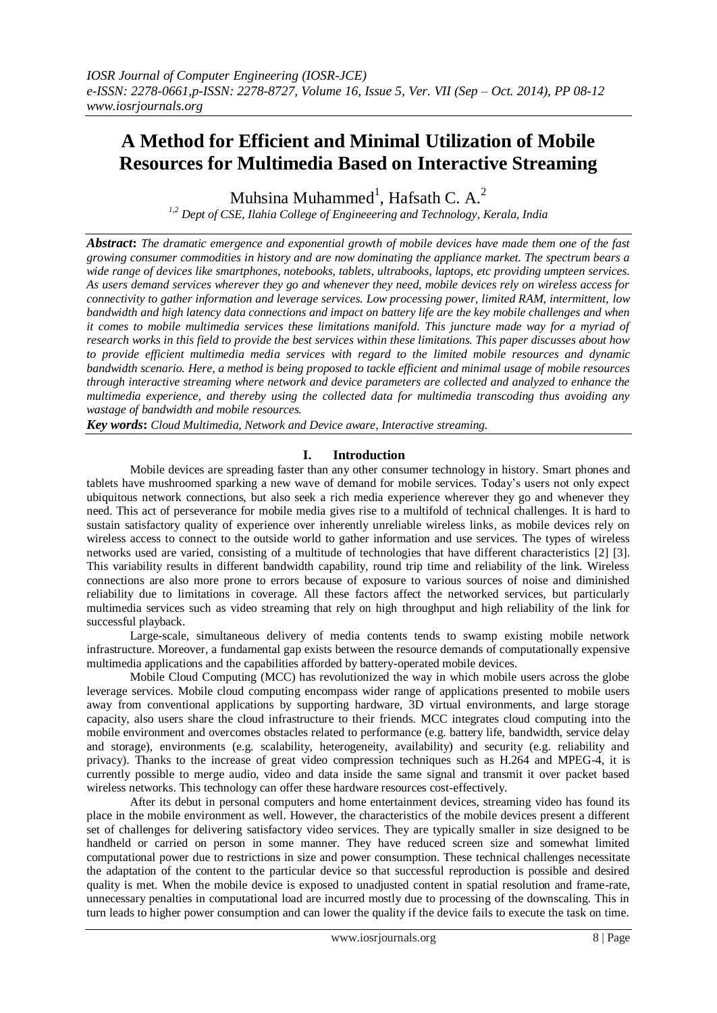# **A Method for Efficient and Minimal Utilization of Mobile Resources for Multimedia Based on Interactive Streaming**

Muhsina Muhammed<sup>1</sup>, Hafsath C. A.<sup>2</sup>

*1,2 Dept of CSE, Ilahia College of Engineeering and Technology, Kerala, India*

*Abstract***:** *The dramatic emergence and exponential growth of mobile devices have made them one of the fast growing consumer commodities in history and are now dominating the appliance market. The spectrum bears a wide range of devices like smartphones, notebooks, tablets, ultrabooks, laptops, etc providing umpteen services. As users demand services wherever they go and whenever they need, mobile devices rely on wireless access for connectivity to gather information and leverage services. Low processing power, limited RAM, intermittent, low bandwidth and high latency data connections and impact on battery life are the key mobile challenges and when it comes to mobile multimedia services these limitations manifold. This juncture made way for a myriad of research works in this field to provide the best services within these limitations. This paper discusses about how to provide efficient multimedia media services with regard to the limited mobile resources and dynamic bandwidth scenario. Here, a method is being proposed to tackle efficient and minimal usage of mobile resources through interactive streaming where network and device parameters are collected and analyzed to enhance the multimedia experience, and thereby using the collected data for multimedia transcoding thus avoiding any wastage of bandwidth and mobile resources.* 

*Key words***:** *Cloud Multimedia, Network and Device aware, Interactive streaming.*

# **I. Introduction**

Mobile devices are spreading faster than any other consumer technology in history. Smart phones and tablets have mushroomed sparking a new wave of demand for mobile services. Today's users not only expect ubiquitous network connections, but also seek a rich media experience wherever they go and whenever they need. This act of perseverance for mobile media gives rise to a multifold of technical challenges. It is hard to sustain satisfactory quality of experience over inherently unreliable wireless links, as mobile devices rely on wireless access to connect to the outside world to gather information and use services. The types of wireless networks used are varied, consisting of a multitude of technologies that have different characteristics [2] [3]. This variability results in different bandwidth capability, round trip time and reliability of the link. Wireless connections are also more prone to errors because of exposure to various sources of noise and diminished reliability due to limitations in coverage. All these factors affect the networked services, but particularly multimedia services such as video streaming that rely on high throughput and high reliability of the link for successful playback.

Large-scale, simultaneous delivery of media contents tends to swamp existing mobile network infrastructure. Moreover, a fundamental gap exists between the resource demands of computationally expensive multimedia applications and the capabilities afforded by battery-operated mobile devices.

Mobile Cloud Computing (MCC) has revolutionized the way in which mobile users across the globe leverage services. Mobile cloud computing encompass wider range of applications presented to mobile users away from conventional applications by supporting hardware, 3D virtual environments, and large storage capacity, also users share the cloud infrastructure to their friends. MCC integrates cloud computing into the mobile environment and overcomes obstacles related to performance (e.g. battery life, bandwidth, service delay and storage), environments (e.g. scalability, heterogeneity, availability) and security (e.g. reliability and privacy). Thanks to the increase of great video compression techniques such as H.264 and MPEG-4, it is currently possible to merge audio, video and data inside the same signal and transmit it over packet based wireless networks. This technology can offer these hardware resources cost-effectively.

After its debut in personal computers and home entertainment devices, streaming video has found its place in the mobile environment as well. However, the characteristics of the mobile devices present a different set of challenges for delivering satisfactory video services. They are typically smaller in size designed to be handheld or carried on person in some manner. They have reduced screen size and somewhat limited computational power due to restrictions in size and power consumption. These technical challenges necessitate the adaptation of the content to the particular device so that successful reproduction is possible and desired quality is met. When the mobile device is exposed to unadjusted content in spatial resolution and frame-rate, unnecessary penalties in computational load are incurred mostly due to processing of the downscaling. This in turn leads to higher power consumption and can lower the quality if the device fails to execute the task on time.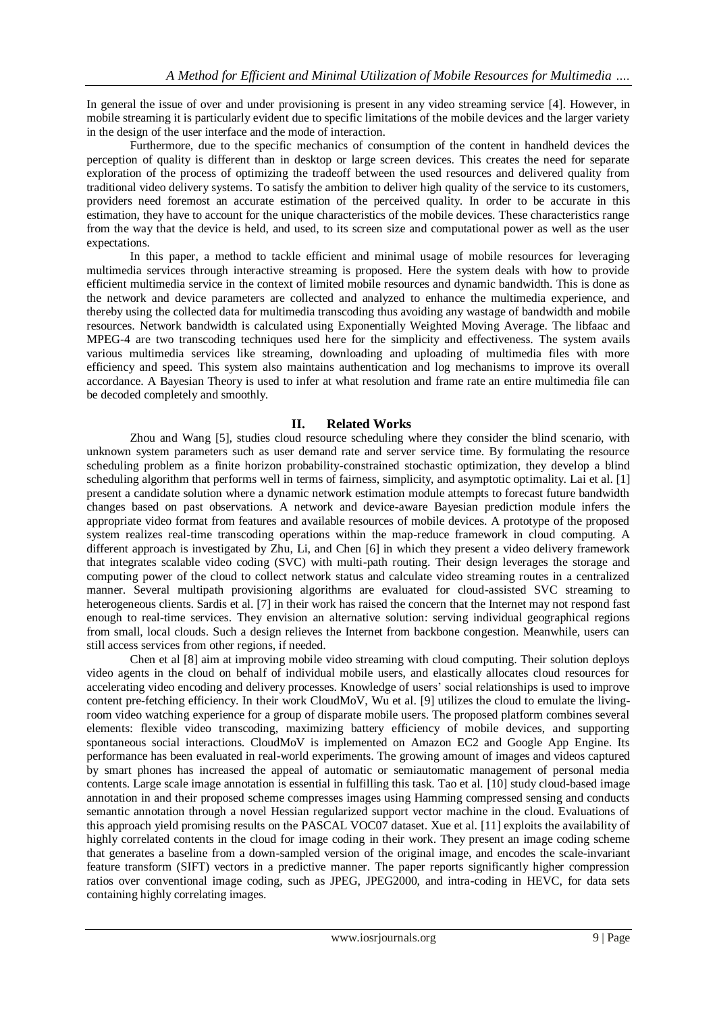In general the issue of over and under provisioning is present in any video streaming service [4]. However, in mobile streaming it is particularly evident due to specific limitations of the mobile devices and the larger variety in the design of the user interface and the mode of interaction.

Furthermore, due to the specific mechanics of consumption of the content in handheld devices the perception of quality is different than in desktop or large screen devices. This creates the need for separate exploration of the process of optimizing the tradeoff between the used resources and delivered quality from traditional video delivery systems. To satisfy the ambition to deliver high quality of the service to its customers, providers need foremost an accurate estimation of the perceived quality. In order to be accurate in this estimation, they have to account for the unique characteristics of the mobile devices. These characteristics range from the way that the device is held, and used, to its screen size and computational power as well as the user expectations.

In this paper, a method to tackle efficient and minimal usage of mobile resources for leveraging multimedia services through interactive streaming is proposed. Here the system deals with how to provide efficient multimedia service in the context of limited mobile resources and dynamic bandwidth. This is done as the network and device parameters are collected and analyzed to enhance the multimedia experience, and thereby using the collected data for multimedia transcoding thus avoiding any wastage of bandwidth and mobile resources. Network bandwidth is calculated using Exponentially Weighted Moving Average. The libfaac and MPEG-4 are two transcoding techniques used here for the simplicity and effectiveness. The system avails various multimedia services like streaming, downloading and uploading of multimedia files with more efficiency and speed. This system also maintains authentication and log mechanisms to improve its overall accordance. A Bayesian Theory is used to infer at what resolution and frame rate an entire multimedia file can be decoded completely and smoothly.

## **II. Related Works**

Zhou and Wang [5], studies cloud resource scheduling where they consider the blind scenario, with unknown system parameters such as user demand rate and server service time. By formulating the resource scheduling problem as a finite horizon probability-constrained stochastic optimization, they develop a blind scheduling algorithm that performs well in terms of fairness, simplicity, and asymptotic optimality. Lai et al. [1] present a candidate solution where a dynamic network estimation module attempts to forecast future bandwidth changes based on past observations. A network and device-aware Bayesian prediction module infers the appropriate video format from features and available resources of mobile devices. A prototype of the proposed system realizes real-time transcoding operations within the map-reduce framework in cloud computing. A different approach is investigated by Zhu, Li, and Chen [6] in which they present a video delivery framework that integrates scalable video coding (SVC) with multi-path routing. Their design leverages the storage and computing power of the cloud to collect network status and calculate video streaming routes in a centralized manner. Several multipath provisioning algorithms are evaluated for cloud-assisted SVC streaming to heterogeneous clients. Sardis et al. [7] in their work has raised the concern that the Internet may not respond fast enough to real-time services. They envision an alternative solution: serving individual geographical regions from small, local clouds. Such a design relieves the Internet from backbone congestion. Meanwhile, users can still access services from other regions, if needed.

Chen et al [8] aim at improving mobile video streaming with cloud computing. Their solution deploys video agents in the cloud on behalf of individual mobile users, and elastically allocates cloud resources for accelerating video encoding and delivery processes. Knowledge of users' social relationships is used to improve content pre-fetching efficiency. In their work CloudMoV, Wu et al. [9] utilizes the cloud to emulate the livingroom video watching experience for a group of disparate mobile users. The proposed platform combines several elements: flexible video transcoding, maximizing battery efficiency of mobile devices, and supporting spontaneous social interactions. CloudMoV is implemented on Amazon EC2 and Google App Engine. Its performance has been evaluated in real-world experiments. The growing amount of images and videos captured by smart phones has increased the appeal of automatic or semiautomatic management of personal media contents. Large scale image annotation is essential in fulfilling this task. Tao et al. [10] study cloud-based image annotation in and their proposed scheme compresses images using Hamming compressed sensing and conducts semantic annotation through a novel Hessian regularized support vector machine in the cloud. Evaluations of this approach yield promising results on the PASCAL VOC07 dataset. Xue et al. [11] exploits the availability of highly correlated contents in the cloud for image coding in their work. They present an image coding scheme that generates a baseline from a down-sampled version of the original image, and encodes the scale-invariant feature transform (SIFT) vectors in a predictive manner. The paper reports significantly higher compression ratios over conventional image coding, such as JPEG, JPEG2000, and intra-coding in HEVC, for data sets containing highly correlating images.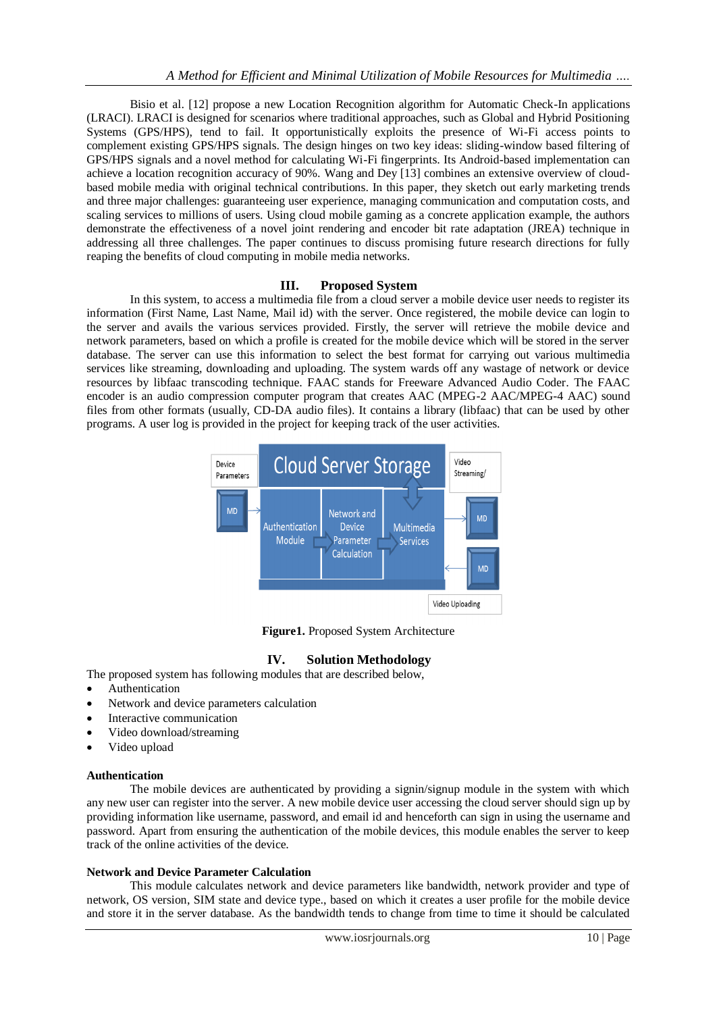Bisio et al. [12] propose a new Location Recognition algorithm for Automatic Check-In applications (LRACI). LRACI is designed for scenarios where traditional approaches, such as Global and Hybrid Positioning Systems (GPS/HPS), tend to fail. It opportunistically exploits the presence of Wi-Fi access points to complement existing GPS/HPS signals. The design hinges on two key ideas: sliding-window based filtering of GPS/HPS signals and a novel method for calculating Wi-Fi fingerprints. Its Android-based implementation can achieve a location recognition accuracy of 90%. Wang and Dey [13] combines an extensive overview of cloudbased mobile media with original technical contributions. In this paper, they sketch out early marketing trends and three major challenges: guaranteeing user experience, managing communication and computation costs, and scaling services to millions of users. Using cloud mobile gaming as a concrete application example, the authors demonstrate the effectiveness of a novel joint rendering and encoder bit rate adaptation (JREA) technique in addressing all three challenges. The paper continues to discuss promising future research directions for fully reaping the benefits of cloud computing in mobile media networks.

### **III. Proposed System**

In this system, to access a multimedia file from a cloud server a mobile device user needs to register its information (First Name, Last Name, Mail id) with the server. Once registered, the mobile device can login to the server and avails the various services provided. Firstly, the server will retrieve the mobile device and network parameters, based on which a profile is created for the mobile device which will be stored in the server database. The server can use this information to select the best format for carrying out various multimedia services like streaming, downloading and uploading. The system wards off any wastage of network or device resources by libfaac transcoding technique. FAAC stands for Freeware Advanced Audio Coder. The FAAC encoder is an audio compression computer program that creates AAC (MPEG-2 AAC/MPEG-4 AAC) sound files from other formats (usually, CD-DA audio files). It contains a library (libfaac) that can be used by other programs. A user log is provided in the project for keeping track of the user activities.



**Figure1.** Proposed System Architecture

# **IV. Solution Methodology**

The proposed system has following modules that are described below,

- Authentication
- Network and device parameters calculation
- Interactive communication
- Video download/streaming
- Video upload

#### **Authentication**

The mobile devices are authenticated by providing a signin/signup module in the system with which any new user can register into the server. A new mobile device user accessing the cloud server should sign up by providing information like username, password, and email id and henceforth can sign in using the username and password. Apart from ensuring the authentication of the mobile devices, this module enables the server to keep track of the online activities of the device.

#### **Network and Device Parameter Calculation**

This module calculates network and device parameters like bandwidth, network provider and type of network, OS version, SIM state and device type., based on which it creates a user profile for the mobile device and store it in the server database. As the bandwidth tends to change from time to time it should be calculated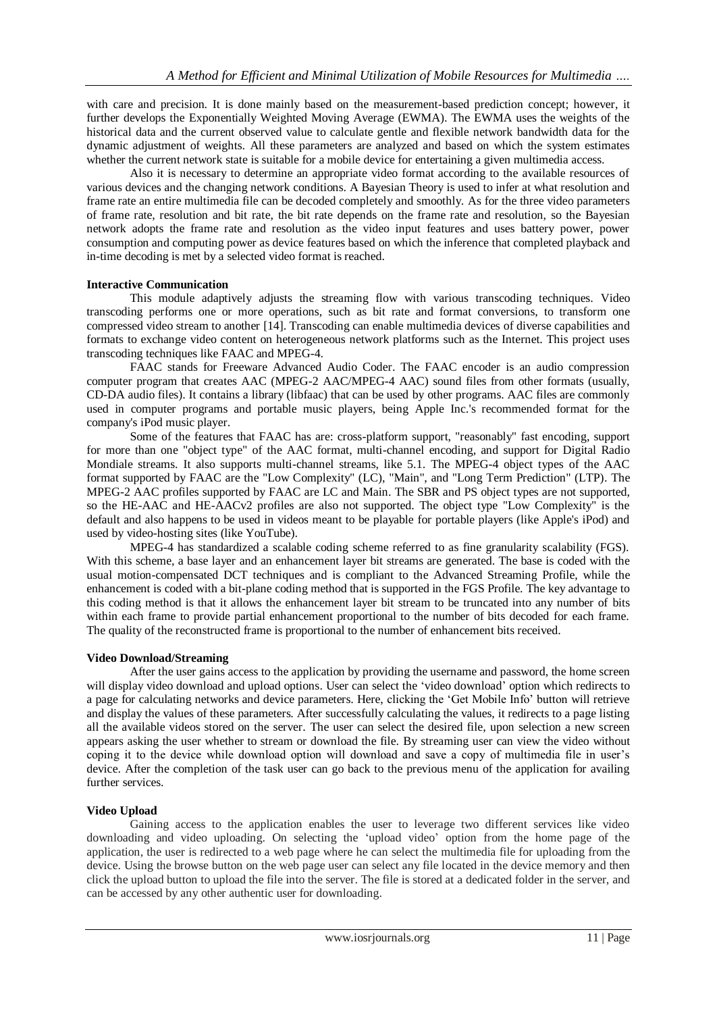with care and precision. It is done mainly based on the measurement-based prediction concept; however, it further develops the Exponentially Weighted Moving Average (EWMA). The EWMA uses the weights of the historical data and the current observed value to calculate gentle and flexible network bandwidth data for the dynamic adjustment of weights. All these parameters are analyzed and based on which the system estimates whether the current network state is suitable for a mobile device for entertaining a given multimedia access.

Also it is necessary to determine an appropriate video format according to the available resources of various devices and the changing network conditions. A Bayesian Theory is used to infer at what resolution and frame rate an entire multimedia file can be decoded completely and smoothly. As for the three video parameters of frame rate, resolution and bit rate, the bit rate depends on the frame rate and resolution, so the Bayesian network adopts the frame rate and resolution as the video input features and uses battery power, power consumption and computing power as device features based on which the inference that completed playback and in-time decoding is met by a selected video format is reached.

### **Interactive Communication**

This module adaptively adjusts the streaming flow with various transcoding techniques. Video transcoding performs one or more operations, such as bit rate and format conversions, to transform one compressed video stream to another [14]. Transcoding can enable multimedia devices of diverse capabilities and formats to exchange video content on heterogeneous network platforms such as the Internet. This project uses transcoding techniques like FAAC and MPEG-4.

FAAC stands for Freeware Advanced Audio Coder. The FAAC encoder is an audio compression computer program that creates AAC (MPEG-2 AAC/MPEG-4 AAC) sound files from other formats (usually, CD-DA audio files). It contains a library (libfaac) that can be used by other programs. AAC files are commonly used in computer programs and portable music players, being Apple Inc.'s recommended format for the company's iPod music player.

Some of the features that FAAC has are: cross-platform support, "reasonably" fast encoding, support for more than one "object type" of the AAC format, multi-channel encoding, and support for Digital Radio Mondiale streams. It also supports multi-channel streams, like 5.1. The MPEG-4 object types of the AAC format supported by FAAC are the "Low Complexity" (LC), "Main", and "Long Term Prediction" (LTP). The MPEG-2 AAC profiles supported by FAAC are LC and Main. The SBR and PS object types are not supported, so the HE-AAC and HE-AACv2 profiles are also not supported. The object type "Low Complexity" is the default and also happens to be used in videos meant to be playable for portable players (like Apple's iPod) and used by video-hosting sites (like YouTube).

MPEG-4 has standardized a scalable coding scheme referred to as fine granularity scalability (FGS). With this scheme, a base layer and an enhancement layer bit streams are generated. The base is coded with the usual motion-compensated DCT techniques and is compliant to the Advanced Streaming Profile, while the enhancement is coded with a bit-plane coding method that is supported in the FGS Profile. The key advantage to this coding method is that it allows the enhancement layer bit stream to be truncated into any number of bits within each frame to provide partial enhancement proportional to the number of bits decoded for each frame. The quality of the reconstructed frame is proportional to the number of enhancement bits received.

#### **Video Download/Streaming**

After the user gains access to the application by providing the username and password, the home screen will display video download and upload options. User can select the 'video download' option which redirects to a page for calculating networks and device parameters. Here, clicking the ‗Get Mobile Info' button will retrieve and display the values of these parameters. After successfully calculating the values, it redirects to a page listing all the available videos stored on the server. The user can select the desired file, upon selection a new screen appears asking the user whether to stream or download the file. By streaming user can view the video without coping it to the device while download option will download and save a copy of multimedia file in user's device. After the completion of the task user can go back to the previous menu of the application for availing further services.

## **Video Upload**

Gaining access to the application enables the user to leverage two different services like video downloading and video uploading. On selecting the ‗upload video' option from the home page of the application, the user is redirected to a web page where he can select the multimedia file for uploading from the device. Using the browse button on the web page user can select any file located in the device memory and then click the upload button to upload the file into the server. The file is stored at a dedicated folder in the server, and can be accessed by any other authentic user for downloading.